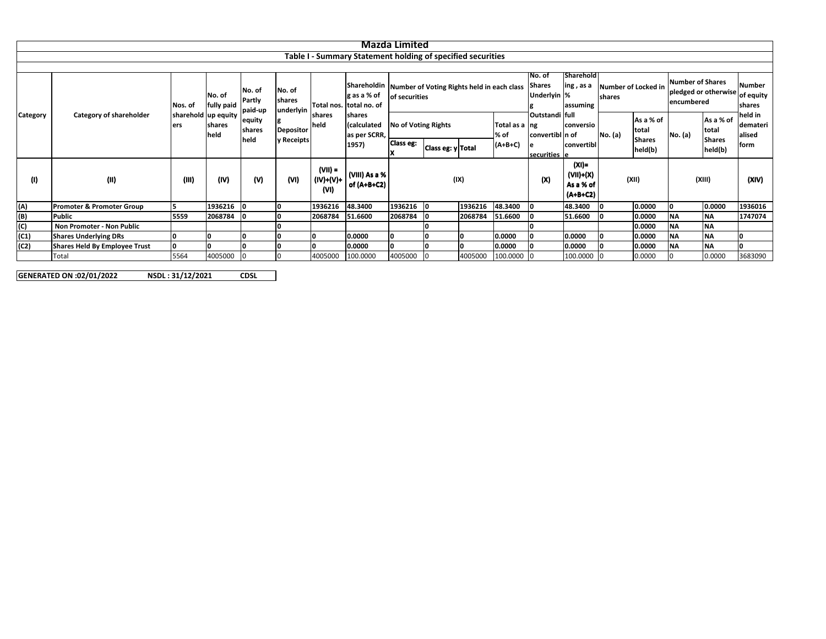|                 |                                                             |                            |                      |                             |                                |                              |                                                                                                                                                   | Mazda Limited              |                   |         |                       |                                        |                                                |         |                                     |                                                               |            |                                       |  |  |  |  |
|-----------------|-------------------------------------------------------------|----------------------------|----------------------|-----------------------------|--------------------------------|------------------------------|---------------------------------------------------------------------------------------------------------------------------------------------------|----------------------------|-------------------|---------|-----------------------|----------------------------------------|------------------------------------------------|---------|-------------------------------------|---------------------------------------------------------------|------------|---------------------------------------|--|--|--|--|
|                 |                                                             |                            |                      |                             |                                |                              |                                                                                                                                                   |                            |                   |         |                       |                                        |                                                |         |                                     |                                                               |            |                                       |  |  |  |  |
|                 | Table I - Summary Statement holding of specified securities |                            |                      |                             |                                |                              |                                                                                                                                                   |                            |                   |         |                       |                                        |                                                |         |                                     |                                                               |            |                                       |  |  |  |  |
|                 |                                                             |                            |                      |                             |                                |                              |                                                                                                                                                   |                            |                   |         |                       |                                        |                                                |         |                                     |                                                               |            |                                       |  |  |  |  |
|                 | Category of shareholder                                     | Nos. of                    | No. of<br>fully paid | No. of<br>Partly<br>paid-up | No. of<br>shares<br>underlyin  |                              | Shareholdin Number of Voting Rights held in each class<br>g as a % of<br>Total nos. total no. of<br>shares<br>calculated<br>as per SCRR,<br>1957) | of securities              |                   |         |                       | No. of<br><b>Shares</b><br>Underlyin % | Sharehold<br>ing, as a<br>assuming             | shares  | <b>Number of Locked in</b>          | <b>Number of Shares</b><br>pledged or otherwise<br>encumbered |            | Number<br>of equity<br>shares         |  |  |  |  |
| <b>Category</b> |                                                             | sharehold up equity<br>ers | shares<br>held       | equity<br>shares<br>held    | <b>Depositor</b><br>y Receipts | shares<br>held               |                                                                                                                                                   | <b>No of Voting Rights</b> |                   |         | Total as a ng<br>% of | Outstandi full<br>convertibl n of      | conversio                                      | No. (a) | As a % of<br>total<br><b>Shares</b> | total<br>No. (a)<br><b>Shares</b>                             | As a % of  | held in<br>demateri<br>alised<br>form |  |  |  |  |
|                 |                                                             |                            |                      |                             |                                |                              |                                                                                                                                                   | <b>Class eg:</b>           | Class eg: y Total |         | (A+B+C)               | e<br>securities e                      | convertibl                                     |         | held(b)                             |                                                               | held(b)    |                                       |  |  |  |  |
| (1)             | (II)                                                        | (III)                      | (IV)                 | (V)                         | (VI)                           | (VII) =<br>(IV)+(V)+<br>(VI) | (VIII) As a %<br>of (A+B+C2)                                                                                                                      | (IX)                       |                   |         |                       | (X)                                    | $(XI) =$<br>(VII)+(X)<br>As a % of<br>(A+B+C2) |         | (XII)                               |                                                               | (XIII)     | (XIV)                                 |  |  |  |  |
| (A)             | Promoter & Promoter Group                                   |                            | 1936216              | - 10                        |                                | 1936216                      | 48.3400                                                                                                                                           | 1936216 0                  |                   | 1936216 | 48.3400               | ١o                                     | 48.3400                                        |         | 0.0000                              |                                                               | 0.0000     | 1936016                               |  |  |  |  |
|                 | Public                                                      | 5559                       | 2068784              | -10                         |                                | 2068784                      | 51.6600                                                                                                                                           | 2068784                    |                   | 2068784 | 51.6600               | ۱O                                     | 51.6600                                        |         | 0.0000                              | <b>NA</b>                                                     | <b>INA</b> | 1747074                               |  |  |  |  |
| $\frac{B}{C}$   | Non Promoter - Non Public                                   |                            |                      |                             |                                |                              |                                                                                                                                                   |                            |                   |         |                       |                                        |                                                |         | 0.0000                              | <b>NA</b>                                                     | <b>INA</b> |                                       |  |  |  |  |
| (C1)            | <b>Shares Underlying DRs</b>                                |                            |                      | ١o                          |                                |                              | 0.0000                                                                                                                                            |                            |                   | ח       | 0.0000                |                                        | 0.0000                                         |         | 0.0000                              | <b>NA</b>                                                     | <b>NA</b>  |                                       |  |  |  |  |
| (C2)            | <b>Shares Held By Employee Trust</b>                        | n                          |                      |                             |                                |                              | 0.0000                                                                                                                                            |                            |                   |         | 0.0000                |                                        | 0.0000                                         |         | 0.0000                              | <b>NA</b>                                                     | <b>NA</b>  |                                       |  |  |  |  |
|                 | Total                                                       | 5564                       | 4005000              | $\overline{0}$              |                                | 1005000                      | 100.0000                                                                                                                                          | 4005000                    |                   | 4005000 | 100.0000 0            |                                        | 100.0000                                       |         | 0.0000                              |                                                               | 0.0000     | 3683090                               |  |  |  |  |

**GENERATED ON:02/01/2022 NSDL : 31/12/2021 CDSL**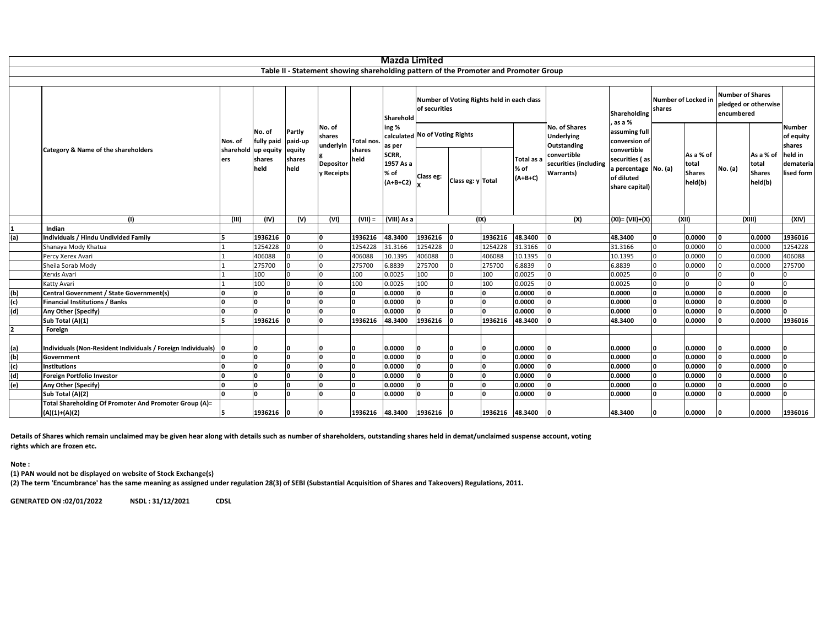|     |                                                                           |         |                                       |                          |                                                                 |                              | <b>Mazda Limited</b>                                                     |                                                             |                                                                                      |                 |                                 |                                                          |                                                                                       |                               |                                                |                                                               |                                                |                                              |
|-----|---------------------------------------------------------------------------|---------|---------------------------------------|--------------------------|-----------------------------------------------------------------|------------------------------|--------------------------------------------------------------------------|-------------------------------------------------------------|--------------------------------------------------------------------------------------|-----------------|---------------------------------|----------------------------------------------------------|---------------------------------------------------------------------------------------|-------------------------------|------------------------------------------------|---------------------------------------------------------------|------------------------------------------------|----------------------------------------------|
|     |                                                                           |         |                                       |                          |                                                                 |                              |                                                                          |                                                             | Table II - Statement showing shareholding pattern of the Promoter and Promoter Group |                 |                                 |                                                          |                                                                                       |                               |                                                |                                                               |                                                |                                              |
|     |                                                                           |         |                                       |                          |                                                                 |                              |                                                                          |                                                             |                                                                                      |                 |                                 |                                                          |                                                                                       |                               |                                                |                                                               |                                                |                                              |
|     | Category & Name of the shareholders                                       |         |                                       |                          |                                                                 | Total nos.<br>shares<br>held | Sharehold<br>ing %<br>as per<br>SCRR,<br>1957 As a<br>% of<br>$(A+B+C2)$ | Number of Voting Rights held in each class<br>of securities |                                                                                      |                 |                                 |                                                          | Shareholding<br>, as a %                                                              | Number of Locked in<br>shares |                                                | <b>Number of Shares</b><br>pledged or otherwise<br>encumbered |                                                |                                              |
|     |                                                                           | Nos. of | No. of<br>fully paid                  | Partly<br>paid-up        | No. of<br>shares<br>underlyin<br><b>Depositor</b><br>y Receipts |                              |                                                                          | calculated No of Voting Rights                              |                                                                                      |                 |                                 | No. of Shares<br><b>Underlying</b><br>Outstanding        | assuming full<br>conversion of                                                        |                               |                                                |                                                               |                                                | Number<br>of equity                          |
|     |                                                                           | ers     | sharehold up equity<br>shares<br>held | equity<br>shares<br>held |                                                                 |                              |                                                                          | Class eg:                                                   | Class eg: y Total                                                                    |                 | Total as a<br>% of<br>$(A+B+C)$ | convertible<br>securities (including<br><b>Warrants)</b> | convertible<br>securities (as<br>a percentage No. (a)<br>of diluted<br>share capital) |                               | As a % of<br>total<br><b>Shares</b><br>held(b) | No. (a)                                                       | As a % of<br>total<br><b>Shares</b><br>held(b) | shares<br>held in<br>demateria<br>lised form |
|     | (1)                                                                       | (III)   | (IV)                                  | (V)                      | (VI)                                                            | $(VII) =$                    | (VIII) As a                                                              |                                                             | (IX)                                                                                 |                 |                                 | (X)                                                      | $(XI) = (VII)+(X)$                                                                    | (XII)                         |                                                | (XIII)                                                        |                                                | (XIV)                                        |
|     | Indian                                                                    |         |                                       |                          |                                                                 |                              |                                                                          |                                                             |                                                                                      |                 |                                 |                                                          |                                                                                       |                               |                                                |                                                               |                                                |                                              |
| (a) | Individuals / Hindu Undivided Family                                      |         | 1936216                               |                          | n                                                               | 1936216                      | 48.3400                                                                  | 1936216                                                     | l0                                                                                   | 1936216         | 48.3400                         |                                                          | 48.3400                                                                               | Û                             | 0.0000                                         |                                                               | 0.0000                                         | 1936016                                      |
|     | Shanaya Mody Khatua                                                       |         | 1254228                               |                          | $\cap$                                                          | 1254228                      | 31.3166                                                                  | 1254228                                                     | In.                                                                                  | 1254228         | 31.3166                         |                                                          | 31.3166                                                                               | 0                             | 0.0000                                         |                                                               | 0.0000                                         | 1254228                                      |
|     | Percy Xerex Avari                                                         |         | 406088                                |                          |                                                                 | 406088                       | 10.1395                                                                  | 406088                                                      |                                                                                      | 406088          | 10.1395                         |                                                          | 10.1395                                                                               | U                             | 0.0000                                         |                                                               | 0.0000                                         | 406088                                       |
|     | Sheila Sorab Mody                                                         |         | 275700                                |                          |                                                                 | 275700                       | 6.8839                                                                   | 275700                                                      |                                                                                      | 275700          | 6.8839                          |                                                          | 6.8839                                                                                | $\Omega$                      | 0.0000                                         |                                                               | 0.0000                                         | 275700                                       |
|     | Xerxis Avari                                                              |         | 100                                   |                          |                                                                 | 100                          | 0.0025                                                                   | 100                                                         | n                                                                                    | 100             | 0.0025                          |                                                          | 0.0025                                                                                | $\Omega$                      |                                                |                                                               |                                                |                                              |
|     | Katty Avari                                                               |         | 100                                   |                          |                                                                 | 100                          | 0.0025                                                                   | 100                                                         | n                                                                                    | 100             | 0.0025                          |                                                          | 0.0025                                                                                | 0                             |                                                |                                                               |                                                |                                              |
| (b) | Central Government / State Government(s)                                  |         | <b>n</b>                              | n                        | n                                                               | $\mathbf{0}$                 | 0.0000                                                                   |                                                             | I۵                                                                                   | ١o              | 0.0000                          |                                                          | 0.0000                                                                                | I٥                            | 0.0000                                         | ln.                                                           | 0.0000                                         |                                              |
| (c) | <b>Financial Institutions / Banks</b>                                     |         | n                                     |                          | n                                                               | n                            | 0.0000                                                                   |                                                             | ١o                                                                                   | O               | 0.0000                          |                                                          | 0.0000                                                                                | 0                             | 0.0000                                         |                                                               | 0.0000                                         |                                              |
| (d) | Any Other (Specify)                                                       |         |                                       |                          | n                                                               | n                            | 0.0000                                                                   |                                                             | I۵                                                                                   | ln.             | 0.0000                          |                                                          | 0.0000                                                                                | O                             | 0.0000                                         |                                                               | 0.0000                                         |                                              |
|     | Sub Total (A)(1)                                                          |         | 1936216                               | n                        | n                                                               | 1936216                      | 48.3400                                                                  | 1936216                                                     | l0                                                                                   | 1936216         | 48.3400                         |                                                          | 48.3400                                                                               | 0                             | 0.0000                                         |                                                               | 0.0000                                         | 1936016                                      |
|     | Foreign                                                                   |         |                                       |                          |                                                                 |                              |                                                                          |                                                             |                                                                                      |                 |                                 |                                                          |                                                                                       |                               |                                                |                                                               |                                                |                                              |
|     |                                                                           |         |                                       |                          |                                                                 |                              |                                                                          |                                                             |                                                                                      |                 |                                 |                                                          |                                                                                       |                               |                                                |                                                               |                                                |                                              |
| (a) | Individuals (Non-Resident Individuals / Foreign Individuals) 0            |         | n                                     |                          |                                                                 | n                            | 0.0000                                                                   |                                                             | ın                                                                                   | ın              | 0.0000                          |                                                          | 0.0000                                                                                | U                             | 0.0000                                         |                                                               | 0.0000                                         |                                              |
| (b) | Government                                                                |         | n.                                    | n                        | n                                                               | <sup>0</sup>                 | 0.0000                                                                   | l n                                                         | O                                                                                    | I٥              | 0.0000                          |                                                          | 0.0000                                                                                | O                             | 0.0000                                         | <sup>n</sup>                                                  | 0.0000                                         |                                              |
| (c) | <b>Institutions</b>                                                       |         | n.                                    | n                        | n                                                               | n                            | 0.0000                                                                   |                                                             | I۵                                                                                   | ١o              | 0.0000                          |                                                          | 0.0000                                                                                | I٥                            | 0.0000                                         |                                                               | 0.0000                                         |                                              |
| (d) | Foreign Portfolio Investor                                                |         | Û                                     | n                        |                                                                 | n                            | 0.0000                                                                   |                                                             | ١o                                                                                   | O               | 0.0000                          |                                                          | 0.0000                                                                                | 0                             | 0.0000                                         |                                                               | 0.0000                                         |                                              |
| (e) | Any Other (Specify)                                                       |         |                                       |                          |                                                                 | n                            | 0.0000                                                                   |                                                             | I۵                                                                                   | ١o              | 0.0000                          |                                                          | 0.0000                                                                                | $\Omega$                      | 0.0000                                         |                                                               | 0.0000                                         |                                              |
|     | Sub Total (A)(2)                                                          |         | Û                                     | n                        |                                                                 | n                            | 0.0000                                                                   |                                                             | I۵                                                                                   | I۵              | 0.0000                          |                                                          | 0.0000                                                                                | $\Omega$                      | 0.0000                                         |                                                               | 0.0000                                         |                                              |
|     | Total Shareholding Of Promoter And Promoter Group (A)=<br>$(A)(1)+(A)(2)$ |         | 1936216                               | n                        |                                                                 | 1936216                      | 48.3400                                                                  | 1936216                                                     | 10                                                                                   | 1936216 48.3400 |                                 |                                                          | 48.3400                                                                               |                               | 0.0000                                         |                                                               | 0.0000                                         | 1936016                                      |

Details of Shares which remain unclaimed may be given hear along with details such as number of shareholders, outstanding shares held in demat/unclaimed suspense account, voting **rights which are frozen etc.**

**Note :**

**(1) PAN would not be displayed on website of Stock Exchange(s)**

(2) The term 'Encumbrance' has the same meaning as assigned under regulation 28(3) of SEBI (Substantial Acquisition of Shares and Takeovers) Regulations, 2011.

**GENERATED ON:02/01/2022 NSDL : 31/12/2021 CDSL**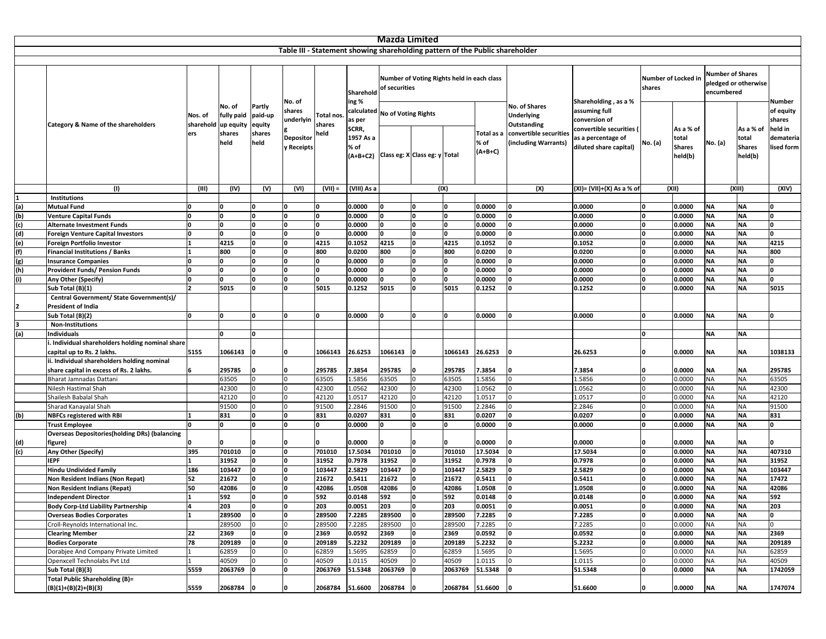|            |                                                                             |                             |                                                     |                                               |                                                                 |                                    |                                               | Mazda Limited                                                            |                                            |           |                                                                              |                                                                                                                   |                                                                                                                                  |                               |                                                |                                                               |                                                |                                                                     |
|------------|-----------------------------------------------------------------------------|-----------------------------|-----------------------------------------------------|-----------------------------------------------|-----------------------------------------------------------------|------------------------------------|-----------------------------------------------|--------------------------------------------------------------------------|--------------------------------------------|-----------|------------------------------------------------------------------------------|-------------------------------------------------------------------------------------------------------------------|----------------------------------------------------------------------------------------------------------------------------------|-------------------------------|------------------------------------------------|---------------------------------------------------------------|------------------------------------------------|---------------------------------------------------------------------|
|            |                                                                             |                             |                                                     |                                               |                                                                 |                                    |                                               |                                                                          |                                            |           | Table III - Statement showing shareholding pattern of the Public shareholder |                                                                                                                   |                                                                                                                                  |                               |                                                |                                                               |                                                |                                                                     |
|            |                                                                             |                             |                                                     |                                               |                                                                 |                                    | Sharehold                                     | of securities                                                            | Number of Voting Rights held in each class |           |                                                                              |                                                                                                                   |                                                                                                                                  | Number of Locked in<br>shares |                                                | <b>Number of Shares</b><br>pledged or otherwise<br>encumbered |                                                |                                                                     |
|            | Category & Name of the shareholders                                         | Nos. of<br>sharehold<br>ers | No. of<br>fully paid<br>up equity<br>shares<br>held | Partly<br>paid-up<br>equity<br>shares<br>held | No. of<br>shares<br>underlyin<br><b>Depositor</b><br>y Receipts | <b>Total nos</b><br>shares<br>held | ing %<br>as per<br>SCRR,<br>1957 As a<br>% of | calculated No of Voting Rights<br>(A+B+C2) Class eg: X Class eg: y Total |                                            |           | Total as a<br>% of<br>(A+B+C)                                                | <b>No. of Shares</b><br><b>Underlying</b><br><b>Outstanding</b><br>convertible securities<br>(including Warrants) | Shareholding, as a %<br>assuming full<br>conversion of<br>convertible securities<br>as a percentage of<br>diluted share capital) | No. (a)                       | As a % of<br>total<br><b>Shares</b><br>held(b) | No. (a)                                                       | As a % of<br>total<br><b>Shares</b><br>held(b) | Number<br>of equity<br>shares<br>held in<br>demateria<br>lised form |
|            | (1)                                                                         | (III)                       | (IV)                                                | (V)                                           | (VI)                                                            | $(VII) =$                          | (VIII) As a                                   |                                                                          |                                            | (IX)      |                                                                              | (X)                                                                                                               | (XI)= (VII)+(X) As a % of                                                                                                        |                               | (XII)                                          |                                                               | (XIII)                                         |                                                                     |
|            | Institutions                                                                |                             |                                                     |                                               |                                                                 |                                    |                                               |                                                                          |                                            |           |                                                                              |                                                                                                                   |                                                                                                                                  |                               |                                                |                                                               |                                                |                                                                     |
| (a)        | <b>Mutual Fund</b>                                                          | l N                         |                                                     |                                               |                                                                 |                                    | 0.0000                                        |                                                                          | n                                          |           | 0.0000                                                                       | I۵                                                                                                                | 0.0000                                                                                                                           |                               | 0.0000                                         | <b>NA</b>                                                     | <b>NA</b>                                      |                                                                     |
| (b)        | <b>Venture Capital Funds</b>                                                | 0                           | 0                                                   | n                                             |                                                                 |                                    | 0.0000                                        |                                                                          | <b>n</b>                                   |           | 0.0000                                                                       | O                                                                                                                 | 0.0000                                                                                                                           |                               | 0.0000                                         | <b>NA</b>                                                     | <b>NA</b>                                      | n                                                                   |
| (c)        | <b>Alternate Investment Funds</b>                                           | ١o                          | U                                                   | U                                             | n                                                               |                                    | 0.0000                                        | O                                                                        | <b>n</b>                                   |           | 0.0000                                                                       | 'n                                                                                                                | 0.0000                                                                                                                           |                               | 0.0000                                         | <b>NA</b>                                                     | <b>NA</b>                                      | <sup>0</sup>                                                        |
| (d)        | <b>Foreign Venture Capital Investors</b>                                    | 0                           | 0<br>4215                                           | O.<br>0                                       | O<br>O                                                          |                                    | 0.0000                                        | O.                                                                       | <b>n</b><br>0                              | n<br>4215 | 0.0000                                                                       | 0<br>0                                                                                                            | 0.0000                                                                                                                           |                               | 0.0000                                         | <b>NA</b><br><b>NA</b>                                        | <b>NA</b><br><b>NA</b>                         | <sup>0</sup><br>4215                                                |
| (e)<br>(f) | Foreign Portfolio Investor<br><b>Financial Institutions / Banks</b>         |                             | 800                                                 | O                                             | O.                                                              | 4215<br>800                        | 0.1052<br>0.0200                              | 4215<br>800                                                              | O                                          | 800       | 0.1052<br>0.0200                                                             | 0                                                                                                                 | 0.1052<br>0.0200                                                                                                                 |                               | 0.0000<br>0.0000                               | <b>NA</b>                                                     | <b>NA</b>                                      | 800                                                                 |
|            | <b>Insurance Companies</b>                                                  | ١o                          | 0                                                   | O                                             | O                                                               |                                    | 0.0000                                        | O                                                                        | O                                          | O         | 0.0000                                                                       | 0                                                                                                                 | 0.0000                                                                                                                           |                               | 0.0000                                         | <b>NA</b>                                                     | <b>NA</b>                                      | <sup>0</sup>                                                        |
| (g)<br>(h) | Provident Funds/ Pension Funds                                              | <sup>0</sup>                | O.                                                  | U                                             |                                                                 |                                    | 0.0000                                        |                                                                          | n                                          | n         | 0.0000                                                                       | 'n                                                                                                                | 0.0000                                                                                                                           |                               | 0.0000                                         | <b>NA</b>                                                     | <b>NA</b>                                      | n                                                                   |
| (i)        | Any Other (Specify)                                                         | n                           | 0                                                   |                                               |                                                                 |                                    | 0.0000                                        |                                                                          |                                            |           | 0.0000                                                                       |                                                                                                                   | 0.0000                                                                                                                           |                               | 0.0000                                         | <b>NA</b>                                                     | <b>NA</b>                                      |                                                                     |
|            | Sub Total (B)(1)                                                            |                             | 5015                                                |                                               |                                                                 | 5015                               | 0.1252                                        | 5015                                                                     |                                            | 5015      | 0.1252                                                                       |                                                                                                                   | 0.1252                                                                                                                           |                               | 0.0000                                         | <b>NA</b>                                                     | <b>NA</b>                                      | 5015                                                                |
|            | Central Government/ State Government(s)/                                    |                             |                                                     |                                               |                                                                 |                                    |                                               |                                                                          |                                            |           |                                                                              |                                                                                                                   |                                                                                                                                  |                               |                                                |                                                               |                                                |                                                                     |
|            | <b>President of India</b>                                                   |                             |                                                     |                                               |                                                                 |                                    |                                               |                                                                          |                                            |           |                                                                              |                                                                                                                   |                                                                                                                                  |                               |                                                |                                                               |                                                |                                                                     |
|            | Sub Total (B)(2)                                                            | 0                           | 0                                                   |                                               |                                                                 |                                    | 0.0000                                        |                                                                          |                                            |           | 0.0000                                                                       |                                                                                                                   | 0.0000                                                                                                                           |                               | 0.0000                                         | <b>NA</b>                                                     | <b>NA</b>                                      |                                                                     |
|            | <b>Non-Institutions</b>                                                     |                             |                                                     |                                               |                                                                 |                                    |                                               |                                                                          |                                            |           |                                                                              |                                                                                                                   |                                                                                                                                  |                               |                                                |                                                               |                                                |                                                                     |
| (a)        | <b>Individuals</b>                                                          |                             | 0                                                   | n                                             |                                                                 |                                    |                                               |                                                                          |                                            |           |                                                                              |                                                                                                                   |                                                                                                                                  |                               |                                                | <b>NA</b>                                                     | <b>NA</b>                                      |                                                                     |
|            | Individual shareholders holding nominal share<br>capital up to Rs. 2 lakhs. | 5155                        | 1066143                                             |                                               |                                                                 | 1066143                            | 26.6253                                       | 1066143                                                                  |                                            | 1066143   | 26.6253                                                                      |                                                                                                                   | 26.6253                                                                                                                          |                               | 0.0000                                         | <b>NA</b>                                                     | <b>NA</b>                                      | 1038133                                                             |
|            | ii. Individual shareholders holding nominal                                 |                             |                                                     |                                               |                                                                 |                                    |                                               |                                                                          |                                            |           |                                                                              |                                                                                                                   |                                                                                                                                  |                               |                                                |                                                               |                                                |                                                                     |
|            | share capital in excess of Rs. 2 lakhs.                                     |                             | 295785                                              |                                               |                                                                 | 295785                             | 7.3854                                        | 295785                                                                   |                                            | 295785    | 7.3854                                                                       |                                                                                                                   | 7.3854                                                                                                                           |                               | 0.0000                                         | <b>NA</b>                                                     | <b>NA</b>                                      | 295785                                                              |
|            | Bharat Jamnadas Dattani                                                     |                             | 63505                                               |                                               |                                                                 | 63505                              | 1.5856                                        | 63505                                                                    |                                            | 63505     | 1.5856                                                                       |                                                                                                                   | 1.5856                                                                                                                           |                               | 0.0000                                         | <b>NA</b>                                                     | <b>NA</b>                                      | 63505                                                               |
|            | Nilesh Hastimal Shah                                                        |                             | 42300                                               |                                               |                                                                 | 42300                              | 1.0562                                        | 42300                                                                    |                                            | 42300     | 1.0562                                                                       |                                                                                                                   | 1.0562                                                                                                                           |                               | 0.0000                                         | <b>NA</b>                                                     | <b>NA</b>                                      | 42300                                                               |
|            | Shailesh Babalal Shah                                                       |                             | 42120                                               |                                               |                                                                 | 42120                              | 1.0517                                        | 42120                                                                    |                                            | 42120     | 1.0517                                                                       |                                                                                                                   | 1.0517                                                                                                                           |                               | 0.0000                                         | <b>NA</b>                                                     | <b>NA</b>                                      | 42120                                                               |
|            | Sharad Kanayalal Shah                                                       |                             | 91500                                               |                                               |                                                                 | 91500                              | 2.2846                                        | 91500                                                                    |                                            | 91500     | 2.2846                                                                       | n                                                                                                                 | 2.2846                                                                                                                           |                               | 0.0000                                         | <b>NA</b>                                                     | <b>NA</b>                                      | 91500                                                               |
| (b)        | <b>NBFCs registered with RBI</b>                                            |                             | 831                                                 | U                                             | U                                                               | 831                                | 0.0207                                        | 831                                                                      | n                                          | 831       | 0.0207                                                                       | 0                                                                                                                 | 0.0207                                                                                                                           |                               | 0.0000                                         | <b>NA</b>                                                     | <b>NA</b>                                      | 831                                                                 |
|            | Trust Employee                                                              | <sup>0</sup>                | 0                                                   | U                                             |                                                                 |                                    | 0.0000                                        | O.                                                                       | O                                          | O         | 0.0000                                                                       | 0                                                                                                                 | 0.0000                                                                                                                           |                               | 0.0000                                         | <b>NA</b>                                                     | <b>NA</b>                                      | 0                                                                   |
| (d)        | <b>Overseas Depositories(holding DRs) (balancing</b><br>figure)             |                             | U                                                   | U                                             |                                                                 |                                    | 0.0000                                        |                                                                          |                                            | o         | 0.0000                                                                       |                                                                                                                   | 0.0000                                                                                                                           |                               | 0.0000                                         | <b>NA</b>                                                     | <b>NA</b>                                      |                                                                     |
| (c)        | Any Other (Specify)                                                         | 395                         | 701010                                              | U                                             |                                                                 | 701010                             | 17.5034                                       | 701010                                                                   |                                            | 701010    | 17.5034                                                                      |                                                                                                                   | 17.5034                                                                                                                          |                               | 0.0000                                         | <b>NA</b>                                                     | <b>NA</b>                                      | 407310                                                              |
|            | <b>IEPF</b>                                                                 |                             | 31952                                               |                                               |                                                                 | 31952                              | 0.7978                                        | 31952                                                                    |                                            | 31952     | 0.7978                                                                       |                                                                                                                   | 0.7978                                                                                                                           |                               | 0.0000                                         | <b>NA</b>                                                     | <b>NA</b>                                      | 31952                                                               |
|            | <b>Hindu Undivided Family</b>                                               | 186                         | 103447                                              |                                               |                                                                 | 103447                             | 2.5829                                        | 103447                                                                   |                                            | 103447    | 2.5829                                                                       | 'n                                                                                                                | 2.5829                                                                                                                           |                               | 0.0000                                         | <b>NA</b>                                                     | <b>NA</b>                                      | 103447                                                              |
|            | Non Resident Indians (Non Repat)                                            | 52                          | 21672                                               |                                               | n                                                               | 21672                              | 0.5411                                        | 21672                                                                    |                                            | 21672     | 0.5411                                                                       | 'n                                                                                                                | 0.5411                                                                                                                           |                               | 0.0000                                         | <b>NA</b>                                                     | <b>NA</b>                                      | 17472                                                               |
|            | Non Resident Indians (Repat)                                                | 50                          | 42086                                               | n                                             | n                                                               | 42086                              | 1.0508                                        | 42086                                                                    | <sup>0</sup>                               | 42086     | 1.0508                                                                       | 0                                                                                                                 | 1.0508                                                                                                                           |                               | 0.0000                                         | <b>NA</b>                                                     | <b>NA</b>                                      | 42086                                                               |
|            | <b>Independent Director</b>                                                 | 11.                         | 592                                                 | O                                             | I٥                                                              | 592                                | 0.0148                                        | 592                                                                      | 0                                          | 592       | 0.0148                                                                       | O                                                                                                                 | 0.0148                                                                                                                           | ١o                            | 0.0000                                         | <b>NA</b>                                                     | <b>NA</b>                                      | 592                                                                 |
|            | <b>Body Corp-Ltd Liability Partnership</b>                                  | 4                           | 203                                                 | 0                                             | ١o                                                              | 203                                | 0.0051                                        | 203                                                                      | Ю.                                         | 203       | 0.0051                                                                       | I٥                                                                                                                | 0.0051                                                                                                                           |                               | 0.0000                                         | <b>NA</b>                                                     | <b>NA</b>                                      | 203                                                                 |
|            | <b>Overseas Bodies Corporates</b>                                           |                             | 289500                                              | 0                                             | 0                                                               | 289500                             | 7.2285                                        | 289500                                                                   | 0                                          | 289500    | 7.2285                                                                       | 0                                                                                                                 | 7.2285                                                                                                                           |                               | 0.0000                                         | <b>NA</b>                                                     | <b>NA</b>                                      | 0                                                                   |
|            | Croll-Reynolds International Inc.                                           |                             | 289500                                              | 0                                             |                                                                 | 289500                             | 7.2285                                        | 289500                                                                   | 0                                          | 289500    | 7.2285                                                                       | 0                                                                                                                 | 7.2285                                                                                                                           |                               | 0.0000                                         | <b>NA</b>                                                     | <b>NA</b>                                      | 0                                                                   |
|            | <b>Clearing Member</b>                                                      | 22                          | 2369                                                | 0                                             | 0                                                               | 2369                               | 0.0592                                        | 2369                                                                     | 0                                          | 2369      | 0.0592                                                                       | 0                                                                                                                 | 0.0592                                                                                                                           |                               | 0.0000                                         | <b>NA</b>                                                     | <b>NA</b>                                      | 2369                                                                |
|            | <b>Bodies Corporate</b>                                                     | 78                          | 209189                                              |                                               |                                                                 | 209189                             | 5.2232                                        | 209189                                                                   |                                            | 209189    | 5.2232                                                                       | O                                                                                                                 | 5.2232                                                                                                                           |                               | 0.0000                                         | <b>NA</b>                                                     | <b>NA</b>                                      | 209189                                                              |
|            | Dorabjee And Company Private Limited                                        |                             | 62859                                               |                                               |                                                                 | 62859                              | 1.5695                                        | 62859                                                                    |                                            | 62859     | 1.5695                                                                       |                                                                                                                   | 1.5695                                                                                                                           |                               | 0.0000                                         | <b>NA</b>                                                     | <b>NA</b>                                      | 62859                                                               |
|            | Openxcell Technolabs Pvt Ltd                                                |                             | 40509                                               |                                               |                                                                 | 40509                              | 1.0115                                        | 40509                                                                    |                                            | 40509     | 1.0115                                                                       |                                                                                                                   | 1.0115                                                                                                                           |                               | 0.0000                                         | <b>NA</b>                                                     | <b>NA</b>                                      | 40509                                                               |
|            | Sub Total (B)(3)                                                            | 5559                        | 2063769                                             |                                               | n                                                               | 2063769                            | 51.5348                                       | 2063769                                                                  |                                            | 2063769   | 51.5348                                                                      |                                                                                                                   | 51.5348                                                                                                                          | n                             | 0.0000                                         | <b>NA</b>                                                     | <b>NA</b>                                      | 1742059                                                             |
|            | <b>Total Public Shareholding (B)=</b><br>(B)(1)+(B)(2)+(B)(3)               | 5559                        | 2068784                                             | 10                                            | O                                                               | 2068784                            | 51.6600                                       | 2068784                                                                  |                                            | 2068784   | 51.6600                                                                      | 10                                                                                                                | 51.6600                                                                                                                          | 10                            | 0.0000                                         | <b>NA</b>                                                     | <b>NA</b>                                      | 1747074                                                             |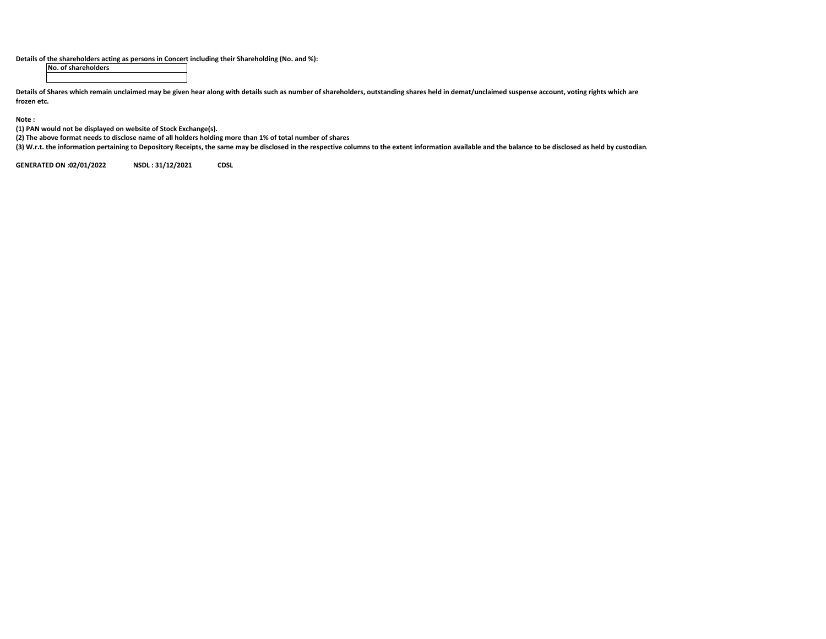**Details of the shareholders acting as persons in Concert including their Shareholding (No. and %):**

**No. of shareholders**

Details of Shares which remain unclaimed may be given hear along with details such as number of shareholders, outstanding shares held in demat/unclaimed suspense account, voting rights which are **frozen etc.**

**Note :**

**(1) PAN would not be displayed on website of Stock Exchange(s).**

(2) The above format needs to disclose name of all holders holding more than 1% of total number of shares

(3) W.r.t. the information pertaining to Depository Receipts, the same may be disclosed in the respective columns to the extent information available and the balance to be disclosed as held by custodian.

**GENERATED ON:02/01/2022 NSDL : 31/12/2021 CDSL**